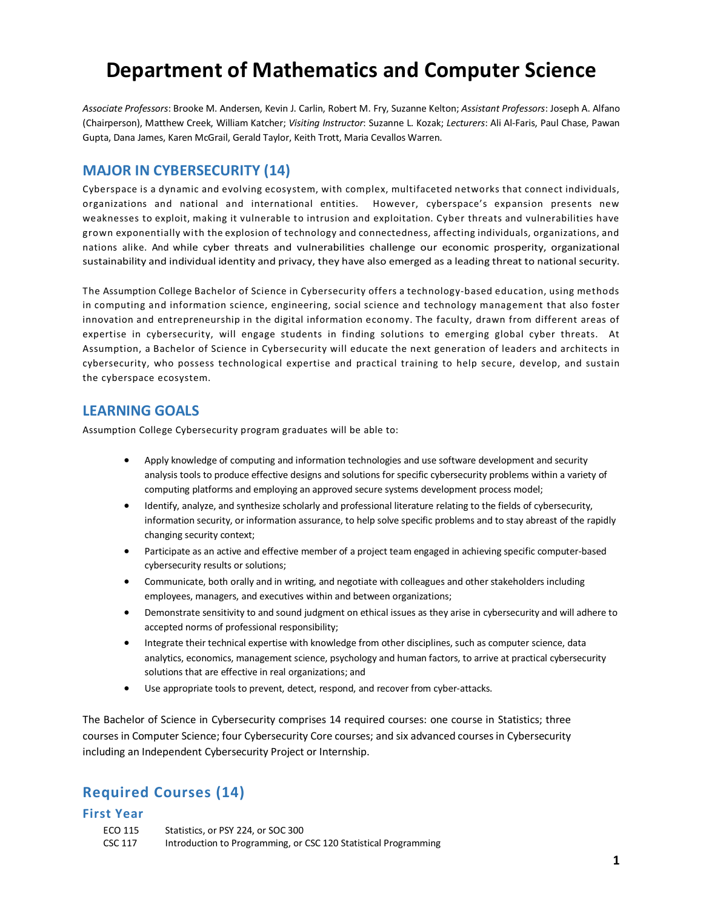# **Department of Mathematics and Computer Science**

*Associate Professors*: Brooke M. Andersen, Kevin J. Carlin, Robert M. Fry, Suzanne Kelton; *Assistant Professors*: Joseph A. Alfano (Chairperson), Matthew Creek, William Katcher; *Visiting Instructor*: Suzanne L. Kozak; *Lecturers*: Ali Al-Faris, Paul Chase, Pawan Gupta, Dana James, Karen McGrail, Gerald Taylor, Keith Trott, Maria Cevallos Warren.

# **MAJOR IN CYBERSECURITY (14)**

Cyberspace is a dynamic and evolving ecosystem, with complex, multifaceted networks that connect individuals, organizations and national and international entities. However, cyberspace's expansion presents new weaknesses to exploit, making it vulnerable to intrusion and exploitation. Cyber threats and vulnerabilities have grown exponentially with the explosion of technology and connectedness, affecting individuals, organizations, and nations alike. And while cyber threats and vulnerabilities challenge our economic prosperity, organizational sustainability and individual identity and privacy, they have also emerged as a leading threat to national security.

The Assumption College Bachelor of Science in Cybersecurity offers a technology-based education, using methods in computing and information science, engineering, social science and technology management that also foster innovation and entrepreneurship in the digital information economy. The faculty, drawn from different areas of expertise in cybersecurity, will engage students in finding solutions to emerging global cyber threats. At Assumption, a Bachelor of Science in Cybersecurity will educate the next generation of leaders and architects in cybersecurity, who possess technological expertise and practical training to help secure, develop, and sustain the cyberspace ecosystem.

## **LEARNING GOALS**

Assumption College Cybersecurity program graduates will be able to:

- Apply knowledge of computing and information technologies and use software development and security analysis tools to produce effective designs and solutions for specific cybersecurity problems within a variety of computing platforms and employing an approved secure systems development process model;
- Identify, analyze, and synthesize scholarly and professional literature relating to the fields of cybersecurity, information security, or information assurance, to help solve specific problems and to stay abreast of the rapidly changing security context;
- Participate as an active and effective member of a project team engaged in achieving specific computer-based cybersecurity results or solutions;
- Communicate, both orally and in writing, and negotiate with colleagues and other stakeholders including employees, managers, and executives within and between organizations;
- Demonstrate sensitivity to and sound judgment on ethical issues as they arise in cybersecurity and will adhere to accepted norms of professional responsibility;
- Integrate their technical expertise with knowledge from other disciplines, such as computer science, data analytics, economics, management science, psychology and human factors, to arrive at practical cybersecurity solutions that are effective in real organizations; and
- Use appropriate tools to prevent, detect, respond, and recover from cyber-attacks.

The Bachelor of Science in Cybersecurity comprises 14 required courses: one course in Statistics; three courses in Computer Science; four Cybersecurity Core courses; and six advanced courses in Cybersecurity including an Independent Cybersecurity Project or Internship.

# **Required Courses (14)**

**First Year**

| ECO 115 | Statistics, or PSY 224, or SOC 300                              |
|---------|-----------------------------------------------------------------|
| CSC 117 | Introduction to Programming, or CSC 120 Statistical Programming |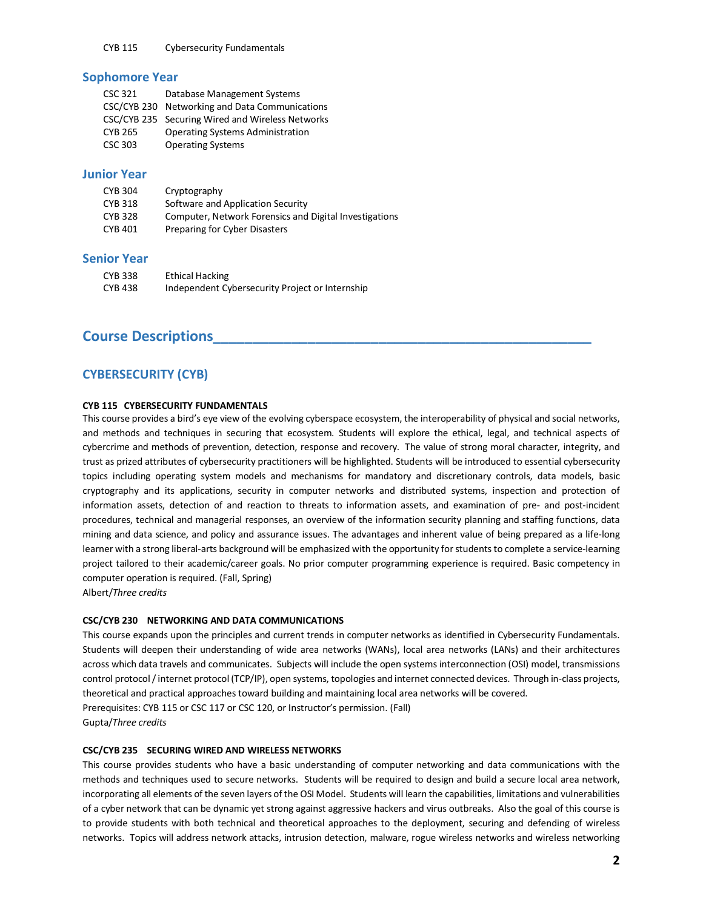#### CYB 115 Cybersecurity Fundamentals

#### **Sophomore Year**

| CSC 321        | Database Management Systems                      |
|----------------|--------------------------------------------------|
|                | CSC/CYB 230 Networking and Data Communications   |
|                | CSC/CYB 235 Securing Wired and Wireless Networks |
| <b>CYB 265</b> | <b>Operating Systems Administration</b>          |
| CSC 303        | <b>Operating Systems</b>                         |

#### **Junior Year**

| CYB 304        | Cryptography                                           |
|----------------|--------------------------------------------------------|
| <b>CYB 318</b> | Software and Application Security                      |
| CYB 328        | Computer, Network Forensics and Digital Investigations |
| CYB 401        | Preparing for Cyber Disasters                          |

#### **Senior Year**

| CYB 338 | <b>Ethical Hacking</b>                          |
|---------|-------------------------------------------------|
| CYB 438 | Independent Cybersecurity Project or Internship |

### **Course Descriptions\_\_\_\_\_\_\_\_\_\_\_\_\_\_\_\_\_\_\_\_\_\_\_\_\_\_\_\_\_\_\_\_\_\_\_\_\_\_\_\_\_\_\_\_\_\_\_\_**

#### **CYBERSECURITY (CYB)**

#### **CYB 115 CYBERSECURITY FUNDAMENTALS**

This course provides a bird's eye view of the evolving cyberspace ecosystem, the interoperability of physical and social networks, and methods and techniques in securing that ecosystem. Students will explore the ethical, legal, and technical aspects of cybercrime and methods of prevention, detection, response and recovery. The value of strong moral character, integrity, and trust as prized attributes of cybersecurity practitioners will be highlighted. Students will be introduced to essential cybersecurity topics including operating system models and mechanisms for mandatory and discretionary controls, data models, basic cryptography and its applications, security in computer networks and distributed systems, inspection and protection of information assets, detection of and reaction to threats to information assets, and examination of pre- and post-incident procedures, technical and managerial responses, an overview of the information security planning and staffing functions, data mining and data science, and policy and assurance issues. The advantages and inherent value of being prepared as a life-long learner with a strong liberal-arts background will be emphasized with the opportunity for students to complete a service-learning project tailored to their academic/career goals. No prior computer programming experience is required. Basic competency in computer operation is required. (Fall, Spring)

Albert/*Three credits*

#### **CSC/CYB 230 NETWORKING AND DATA COMMUNICATIONS**

This course expands upon the principles and current trends in computer networks as identified in Cybersecurity Fundamentals. Students will deepen their understanding of wide area networks (WANs), local area networks (LANs) and their architectures across which data travels and communicates. Subjects will include the open systems interconnection (OSI) model, transmissions control protocol / internet protocol (TCP/IP), open systems, topologies and internet connected devices. Through in-class projects, theoretical and practical approaches toward building and maintaining local area networks will be covered. Prerequisites: CYB 115 or CSC 117 or CSC 120, or Instructor's permission. (Fall) Gupta/*Three credits*

#### **CSC/CYB 235 SECURING WIRED AND WIRELESS NETWORKS**

This course provides students who have a basic understanding of computer networking and data communications with the methods and techniques used to secure networks. Students will be required to design and build a secure local area network, incorporating all elements of the seven layers of the OSI Model. Students will learn the capabilities, limitations and vulnerabilities of a cyber network that can be dynamic yet strong against aggressive hackers and virus outbreaks. Also the goal of this course is to provide students with both technical and theoretical approaches to the deployment, securing and defending of wireless networks. Topics will address network attacks, intrusion detection, malware, rogue wireless networks and wireless networking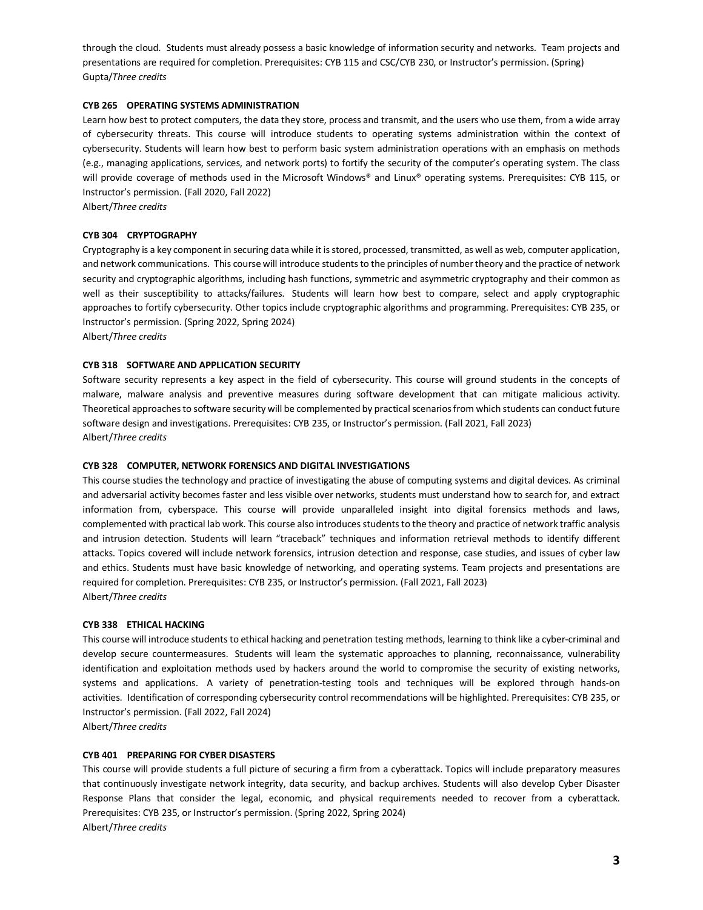through the cloud. Students must already possess a basic knowledge of information security and networks. Team projects and presentations are required for completion. Prerequisites: CYB 115 and CSC/CYB 230, or Instructor's permission. (Spring) Gupta/*Three credits*

#### **CYB 265 OPERATING SYSTEMS ADMINISTRATION**

Learn how best to protect computers, the data they store, process and transmit, and the users who use them, from a wide array of cybersecurity threats. This course will introduce students to operating systems administration within the context of cybersecurity. Students will learn how best to perform basic system administration operations with an emphasis on methods (e.g., managing applications, services, and network ports) to fortify the security of the computer's operating system. The class will provide coverage of methods used in the Microsoft Windows® and Linux® operating systems. Prerequisites: CYB 115, or Instructor's permission. (Fall 2020, Fall 2022)

Albert/*Three credits*

#### **CYB 304 CRYPTOGRAPHY**

Cryptography is a key component in securing data while it isstored, processed, transmitted, as well as web, computer application, and network communications. This course will introduce students to the principles of number theory and the practice of network security and cryptographic algorithms, including hash functions, symmetric and asymmetric cryptography and their common as well as their susceptibility to attacks/failures. Students will learn how best to compare, select and apply cryptographic approaches to fortify cybersecurity. Other topics include cryptographic algorithms and programming. Prerequisites: CYB 235, or Instructor's permission. (Spring 2022, Spring 2024)

Albert/*Three credits*

#### **CYB 318 SOFTWARE AND APPLICATION SECURITY**

Software security represents a key aspect in the field of cybersecurity. This course will ground students in the concepts of malware, malware analysis and preventive measures during software development that can mitigate malicious activity. Theoretical approaches to software security will be complemented by practical scenarios from which students can conduct future software design and investigations. Prerequisites: CYB 235, or Instructor's permission. (Fall 2021, Fall 2023) Albert/*Three credits*

#### **CYB 328 COMPUTER, NETWORK FORENSICS AND DIGITAL INVESTIGATIONS**

This course studies the technology and practice of investigating the abuse of computing systems and digital devices. As criminal and adversarial activity becomes faster and less visible over networks, students must understand how to search for, and extract information from, cyberspace. This course will provide unparalleled insight into digital forensics methods and laws, complemented with practical lab work. This course also introduces students to the theory and practice of network traffic analysis and intrusion detection. Students will learn "traceback" techniques and information retrieval methods to identify different attacks. Topics covered will include network forensics, intrusion detection and response, case studies, and issues of cyber law and ethics. Students must have basic knowledge of networking, and operating systems. Team projects and presentations are required for completion. Prerequisites: CYB 235, or Instructor's permission. (Fall 2021, Fall 2023) Albert/*Three credits*

#### **CYB 338 ETHICAL HACKING**

This course will introduce students to ethical hacking and penetration testing methods, learning to think like a cyber-criminal and develop secure countermeasures. Students will learn the systematic approaches to planning, reconnaissance, vulnerability identification and exploitation methods used by hackers around the world to compromise the security of existing networks, systems and applications. A variety of penetration-testing tools and techniques will be explored through hands-on activities. Identification of corresponding cybersecurity control recommendations will be highlighted. Prerequisites: CYB 235, or Instructor's permission. (Fall 2022, Fall 2024)

Albert/*Three credits*

#### **CYB 401 PREPARING FOR CYBER DISASTERS**

This course will provide students a full picture of securing a firm from a cyberattack. Topics will include preparatory measures that continuously investigate network integrity, data security, and backup archives. Students will also develop Cyber Disaster Response Plans that consider the legal, economic, and physical requirements needed to recover from a cyberattack. Prerequisites: CYB 235, or Instructor's permission. (Spring 2022, Spring 2024) Albert/*Three credits*